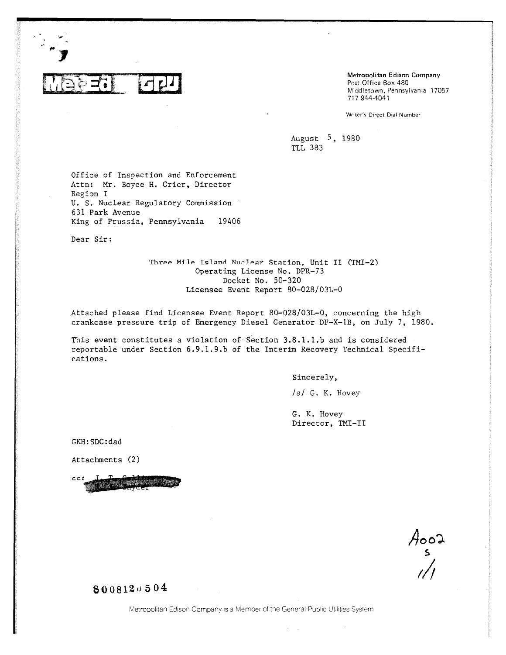

Metropolitan Edison Company Post Office Box 480 Middletown, Pennsylvania 17057 717 944-4041

Writer's Direct Dial Number

August 5 , 1980 TLL 383

Office of Inspection and Enforcement Attn: Mr. Boyce H. Crier, Director Region I U. S. Nuclear Regulatory Commission 631 Park Avenue King of Prussia, Pennsylvania 19406

Dear Sir:

Three Mile Island Nuclear Station, Unit II (TMI-2) Operating License No. DPR-73 Docket No. 50-320 Licensee Event Report 80-028/03L-0

Attached please find Licensee Event Report 80-028/03L-0, concerning the high crankcase pressure trip of Emergency Diesel Generator DF-X-1B, on July 7, 1980.

This event constitutes a violation of Section 3.8.1.1.b and is considered reportable under Section 6.9.1.9.b of the Interim Recovery Technical Specifications.

Sincerely,

/s/ G. K. Hovey

G. K. Hovey Director, TNT-II

GKH:SDC:dad

Attachments (2)

cc;

 $A_{\text{total}}$ 

**<sup>13</sup>**0 0 8 12 u 504

Metropolitan Edison Company is a Member of the General Public Utilities System

 $\sim$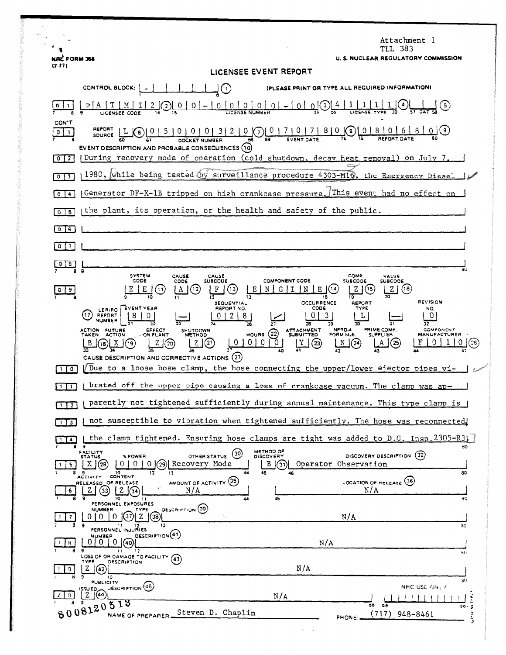|                                | Attachment l<br>TLL 383                                                                                                                                                                                                                                                                                                                                                                                                                                                                                         |
|--------------------------------|-----------------------------------------------------------------------------------------------------------------------------------------------------------------------------------------------------------------------------------------------------------------------------------------------------------------------------------------------------------------------------------------------------------------------------------------------------------------------------------------------------------------|
| NAC FORM 366<br>(7.77)         | U. S. NUCLEAR REGULATORY COMMISSION<br>LICENSEE EVENT REPORT                                                                                                                                                                                                                                                                                                                                                                                                                                                    |
|                                | CONTROL BLOCK: [<br>(PLEASE PRINT OR TYPE ALL REQUIRED INFORMATION)<br>$\cup$                                                                                                                                                                                                                                                                                                                                                                                                                                   |
|                                | $2\left(2\right)\left(0\right)0-0-0$ $2\left(0\right)\left(0\right)2+0$<br>$P$   A   T                                                                                                                                                                                                                                                                                                                                                                                                                          |
| CON'T<br>$0$   1               | REPORT   L C   0   5   0   0   0   3   2   0   0   0   7   0   7   8   0   8   0   6   8   0   6   8   0   6   8   0   6   8   0   6   8   0   6   8   0   6   8   0   6   8   0   6   8   0   6   8   0   6   8   0   6   8<br>(9)<br>EVENT DESCRIPTION AND PROBABLE CONSEQUENCES (10)                                                                                                                                                                                                                         |
| $0 \mid 2$                     | During recovery mode of operation (cold shutdown, decay heat removal) on July 7.                                                                                                                                                                                                                                                                                                                                                                                                                                |
| $\overline{\mathbf{3}}$<br>Ő   | 1980, while being tested by surveillance procedure 4303-MIG, the Emergency Diesel                                                                                                                                                                                                                                                                                                                                                                                                                               |
| $\circ$<br>4                   | Generator DF-X-1B tripped on high crankcase pressure. This event had no effect on                                                                                                                                                                                                                                                                                                                                                                                                                               |
| $\Omega$<br>-5                 | the plant, its operation, or the health and safety of the public.                                                                                                                                                                                                                                                                                                                                                                                                                                               |
| $0$ $\sqrt{5}$                 |                                                                                                                                                                                                                                                                                                                                                                                                                                                                                                                 |
| 0<br>$\overline{\phantom{a}}$  |                                                                                                                                                                                                                                                                                                                                                                                                                                                                                                                 |
| 018                            | $\overline{a}$<br>មប                                                                                                                                                                                                                                                                                                                                                                                                                                                                                            |
| 9                              | <b>SYSTEM</b><br><b>COMP.</b><br>CAUSE<br>CAUSE<br>VALVE<br>SUBCODE<br>CODE<br><b>COMPONENT CODE</b><br><b>SUBCODE</b><br><b>SUBCODE</b><br>CODE<br>Е<br>(13)<br>(16)<br>(12<br>Е<br>Z.<br>'11<br>A<br>Ν<br>19<br>18<br><b>REVISION</b><br><b>OCCURRENCE</b>                                                                                                                                                                                                                                                    |
|                                | REPORT<br><b>SEQUENTIAL</b><br>CODE<br>REPORT NO.<br>TYPE<br>EVENT YEAR<br>NO.<br>LER/RO<br>3<br>117<br>0<br>REPORT<br>8<br><b>NUMBER</b><br>29<br>36<br>32<br>NPRD-4<br>PRIME COMP.<br>ACTION FUTURE<br>EFFECT<br>ON PLANT<br>ATTACHMENT<br>SUBMITTED<br>COMPONENT<br>SHUTDOWN<br>(22)<br>FORM SUB.<br>TAKEN<br>HOURS<br><b>SUPPLIER</b><br><b>ACTION</b><br>MANUFACTURER<br><b>METHOD</b><br>0   0<br>0<br>N(24)<br>(21)<br>(23)<br>B<br>(20)<br>(25)<br>18)<br>CAUSE DESCRIPTION AND CORRECTIVE ACTIONS (27) |
| $\sqrt{2}$                     | Due to a loose hose clamp, the hose connecting the upper/lower ejector pipes vi-                                                                                                                                                                                                                                                                                                                                                                                                                                |
| $\blacksquare$<br>$\mathbf{1}$ | brated off the upper pipe causing a loss of crankcase vacuum. The clamp was ap-                                                                                                                                                                                                                                                                                                                                                                                                                                 |
| $1$   2                        | parently not tightened sufficiently during annual maintenance. This type clamp is                                                                                                                                                                                                                                                                                                                                                                                                                               |
| $1 \mid 3 \mid$                | not susceptible to vibration when tightened sufficiently. The hose was reconnected                                                                                                                                                                                                                                                                                                                                                                                                                              |
| $\overline{\mathbf{A}}$        | the clamp tightened. Ensuring hose clamps are tight was added to D.G. Insp. 2305-R31                                                                                                                                                                                                                                                                                                                                                                                                                            |
| 5                              | 80<br>METHOD OF<br>DISCOVERY<br>FACILITY<br>STATUS<br>(30)<br>DISCOVERY DESCRIPTION (32)<br>% POWER<br>OTHER STATUS<br>Recovery Mode<br>$\mathbf{X}$<br>010<br>0(29)<br>Operator Observation<br>(28<br>В<br>$\vert (31)$<br>12<br>89<br>$10-10$<br>44<br>45<br>80                                                                                                                                                                                                                                               |
| 6                              | 13<br>CONTENT<br><b>ACTIVITY</b><br>AMOUNT OF ACTIVITY (35)<br>(36)<br>RELEASED OF RELEASE<br><b>LOCATION OF RELEASE</b><br>N/A<br>N/A<br>z<br>33<br>z<br>45<br>80<br>10<br>44                                                                                                                                                                                                                                                                                                                                  |
|                                | PERSONNEL EXPOSURES<br><b>DESCRIPTION</b> (39)<br><b>NUMBER</b><br>TYPE<br>z<br>37<br>N/A<br><sup>0</sup><br>0<br>(38)<br>$\gamma_{\rm N}$<br>9<br>13<br>30                                                                                                                                                                                                                                                                                                                                                     |
| 8                              | PERSONNEL INJURIES<br>DESCRIPTION <sup>(41)</sup><br><b>NUMBER</b><br>$0+0$<br>N/A<br>[(40)                                                                                                                                                                                                                                                                                                                                                                                                                     |
|                                | 9<br>$\mathbf{11}$<br>12<br>мn<br>LOSS OF OR DAMAGE TO FACILITY<br>(43)<br>TYPE<br><b>DESCRIPTION</b><br>N/A<br>z<br>42                                                                                                                                                                                                                                                                                                                                                                                         |
|                                | 10<br>80<br><b>PUBLICITY</b>                                                                                                                                                                                                                                                                                                                                                                                                                                                                                    |
| $\Omega$                       | DESCRIPTION (45)<br>NRC USE ONLY<br>$\left  \begin{array}{c} 155 \text{U ED} \\ 2 \end{array} \right $<br>N/A<br>$\ddot{ }$                                                                                                                                                                                                                                                                                                                                                                                     |
|                                | 8008120513<br>68<br>69<br>$80 - 5$<br>Steven D. Chaplin<br>(717)<br>948-8461<br>د دی<br>NAME OF PREPARER<br>PHONE:                                                                                                                                                                                                                                                                                                                                                                                              |